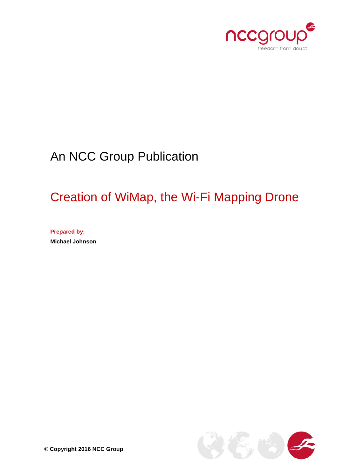

# An NCC Group Publication

# Creation of WiMap, the Wi-Fi Mapping Drone

**Prepared by: Michael Johnson**

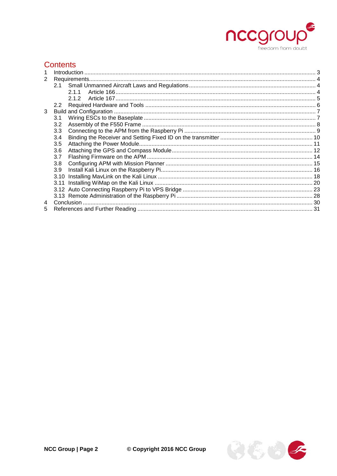

# **Contents**

|   | Introduction  |  |
|---|---------------|--|
| 2 |               |  |
|   |               |  |
|   | 2.1.1         |  |
|   | 2.1.2         |  |
|   | $2.2^{\circ}$ |  |
| 3 |               |  |
|   | 3.1           |  |
|   | 3.2           |  |
|   | 3.3           |  |
|   | 3.4           |  |
|   | 3.5           |  |
|   | 3.6           |  |
|   | 3.7           |  |
|   | 3.8           |  |
|   | 3.9           |  |
|   | 3.10          |  |
|   |               |  |
|   |               |  |
|   |               |  |
| 4 |               |  |
| 5 |               |  |

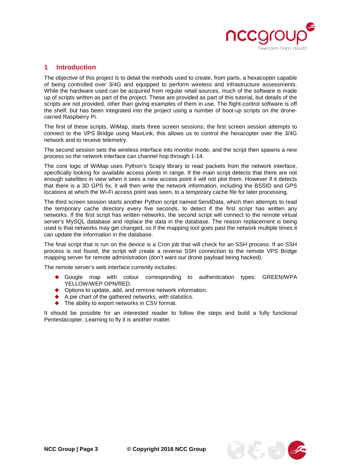

#### <span id="page-2-0"></span>**1 Introduction**

The objective of this project is to detail the methods used to create, from parts, a hexacopter capable of being controlled over 3/4G and equipped to perform wireless and infrastructure assessments. While the hardware used can be acquired from regular retail sources, much of the software is made up of scripts written as part of the project. These are provided as part of this tutorial, but details of the scripts are not provided, other than giving examples of them in use. The flight-control software is off the shelf, but has been integrated into the project using a number of boot-up scripts on the dronecarried Raspberry Pi.

The first of these scripts, WiMap, starts three screen sessions; the first screen session attempts to connect to the VPS Bridge using MavLink, this allows us to control the hexacopter over the 3/4G network and to receive telemetry.

The second session sets the wireless interface into monitor mode, and the script then spawns a new process so the network interface can channel hop through 1-14.

The core logic of WiMap uses Python's Scapy library to read packets from the network interface, specifically looking for available access points in range. If the main script detects that there are not enough satellites in view when it sees a new access point it will not plot them. However if it detects that there is a 3D GPS fix, it will then write the network information, including the BSSID and GPS locations at which the Wi-Fi access point was seen, to a temporary cache file for later processing.

The third screen session starts another Python script named SendData, which then attempts to read the temporary cache directory every five seconds, to detect if the first script has written any networks. If the first script has written networks, the second script will connect to the remote virtual server's MySQL database and replace the data in the database. The reason replacement is being used is that networks may get changed, so if the mapping tool goes past the network multiple times it can update the information in the database.

The final script that is run on the device is a Cron job that will check for an SSH process. If an SSH process is not found, the script will create a reverse SSH connection to the remote VPS Bridge mapping server for remote administration (don't want our drone payload being hacked).

The remote server's web interface currently includes:

- Google map with colour corresponding to authentication types: GREEN/WPA YELLOW/WEP OPN/RED.
- Options to update, add, and remove network information.
- A pie chart of the gathered networks, with statistics.
- The ability to export networks in CSV format.

It should be possible for an interested reader to follow the steps and build a fully functional Pentestacopter. Learning to fly it is another matter.

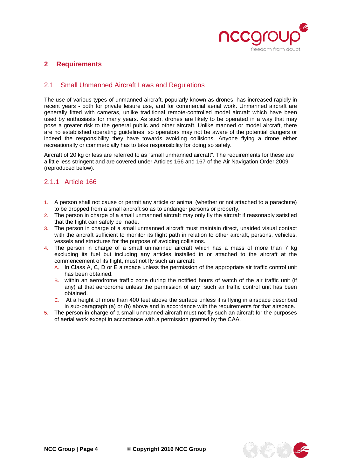

## <span id="page-3-0"></span>**2 Requirements**

#### <span id="page-3-1"></span>2.1 Small Unmanned Aircraft Laws and Regulations

The use of various types of unmanned aircraft, popularly known as drones, has increased rapidly in recent years - both for private leisure use, and for commercial aerial work. Unmanned aircraft are generally fitted with cameras, unlike traditional remote-controlled model aircraft which have been used by enthusiasts for many years. As such, drones are likely to be operated in a way that may pose a greater risk to the general public and other aircraft. Unlike manned or model aircraft, there are no established operating guidelines, so operators may not be aware of the potential dangers or indeed the responsibility they have towards avoiding collisions. Anyone flying a drone either recreationally or commercially has to take responsibility for doing so safely.

Aircraft of 20 kg or less are referred to as "small unmanned aircraft". The requirements for these are a little less stringent and are covered under Articles 166 and 167 of the Air Navigation Order 2009 (reproduced below).

#### <span id="page-3-2"></span>2.1.1 Article 166

- 1. A person shall not cause or permit any article or animal (whether or not attached to a parachute) to be dropped from a small aircraft so as to endanger persons or property.
- 2. The person in charge of a small unmanned aircraft may only fly the aircraft if reasonably satisfied that the flight can safely be made.
- 3. The person in charge of a small unmanned aircraft must maintain direct, unaided visual contact with the aircraft sufficient to monitor its flight path in relation to other aircraft, persons, vehicles, vessels and structures for the purpose of avoiding collisions.
- 4. The person in charge of a small unmanned aircraft which has a mass of more than 7 kg excluding its fuel but including any articles installed in or attached to the aircraft at the commencement of its flight, must not fly such an aircraft:
	- A. In Class A, C, D or E airspace unless the permission of the appropriate air traffic control unit has been obtained.
	- B. within an aerodrome traffic zone during the notified hours of watch of the air traffic unit (if any) at that aerodrome unless the permission of any such air traffic control unit has been obtained.
	- C. At a height of more than 400 feet above the surface unless it is flying in airspace described in sub-paragraph (a) or (b) above and in accordance with the requirements for that airspace.
- 5. The person in charge of a small unmanned aircraft must not fly such an aircraft for the purposes of aerial work except in accordance with a permission granted by the CAA.

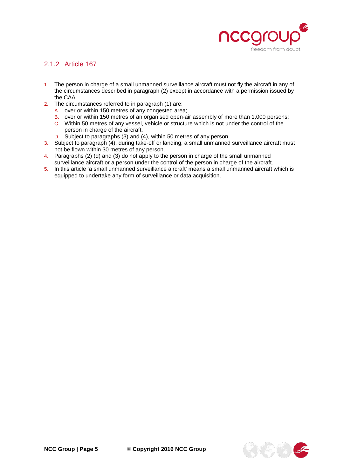

# <span id="page-4-0"></span>2.1.2 Article 167

- 1. The person in charge of a small unmanned surveillance aircraft must not fly the aircraft in any of the circumstances described in paragraph (2) except in accordance with a permission issued by the CAA.
- 2. The circumstances referred to in paragraph (1) are:
	- A. over or within 150 metres of any congested area;
	- B. over or within 150 metres of an organised open-air assembly of more than 1,000 persons;
	- C. Within 50 metres of any vessel, vehicle or structure which is not under the control of the person in charge of the aircraft.
	- D. Subject to paragraphs (3) and (4), within 50 metres of any person.
- 3. Subject to paragraph (4), during take-off or landing, a small unmanned surveillance aircraft must not be flown within 30 metres of any person.
- 4. Paragraphs (2) (d) and (3) do not apply to the person in charge of the small unmanned surveillance aircraft or a person under the control of the person in charge of the aircraft.
- 5. In this article 'a small unmanned surveillance aircraft' means a small unmanned aircraft which is equipped to undertake any form of surveillance or data acquisition.

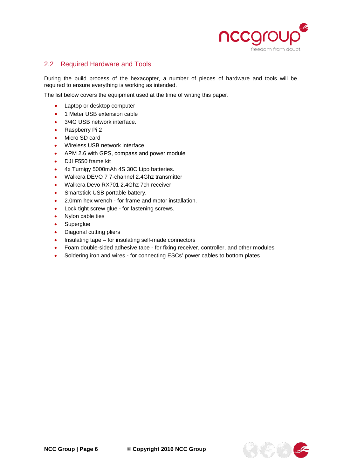

# <span id="page-5-0"></span>2.2 Required Hardware and Tools

During the build process of the hexacopter, a number of pieces of hardware and tools will be required to ensure everything is working as intended.

The list below covers the equipment used at the time of writing this paper.

- Laptop or desktop computer
- 1 Meter USB extension cable
- 3/4G USB network interface.
- Raspberry Pi 2
- Micro SD card
- Wireless USB network interface
- APM 2.6 with GPS, compass and power module
- DJI F550 frame kit
- 4x Turnigy 5000mAh 4S 30C Lipo batteries.
- Walkera DEVO 7 7-channel 2.4Ghz transmitter
- Walkera Devo RX701 2.4Ghz 7ch receiver
- Smartstick USB portable battery.
- 2.0mm hex wrench for frame and motor installation.
- Lock tight screw glue for fastening screws.
- Nylon cable ties
- **Superglue**
- Diagonal cutting pliers
- Insulating tape for insulating self-made connectors
- Foam double-sided adhesive tape for fixing receiver, controller, and other modules
- Soldering iron and wires for connecting ESCs' power cables to bottom plates

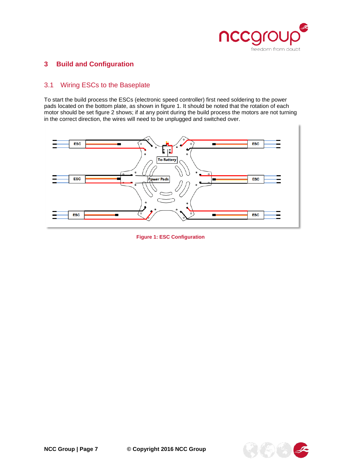

# <span id="page-6-0"></span>**3 Build and Configuration**

# <span id="page-6-1"></span>3.1 Wiring ESCs to the Baseplate

To start the build process the ESCs (electronic speed controller) first need soldering to the power pads located on the bottom plate, as shown in figure 1. It should be noted that the rotation of each motor should be set figure 2 shows; if at any point during the build process the motors are not turning in the correct direction, the wires will need to be unplugged and switched over.



**Figure 1: ESC Configuration**

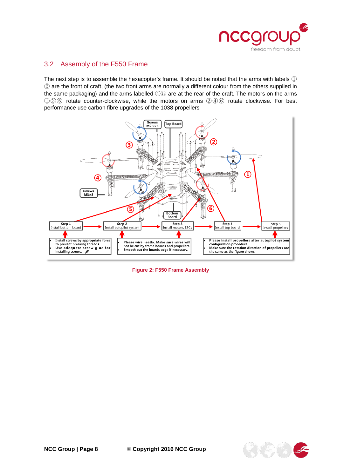

## <span id="page-7-0"></span>3.2 Assembly of the F550 Frame

The next step is to assemble the hexacopter's frame. It should be noted that the arms with labels ① ② are the front of craft, (the two front arms are normally a different colour from the others supplied in the same packaging) and the arms labelled ④⑤ are at the rear of the craft. The motors on the arms ①③⑤ rotate counter-clockwise, while the motors on arms ②④⑥ rotate clockwise. For best performance use carbon fibre upgrades of the 1038 propellers



**Figure 2: F550 Frame Assembly**

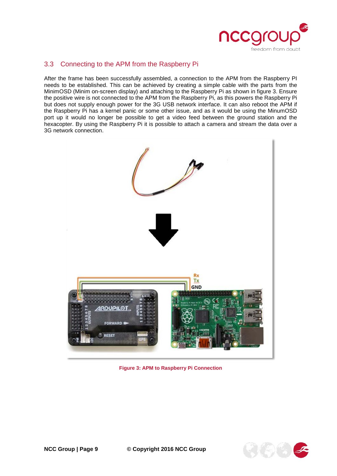

# <span id="page-8-0"></span>3.3 Connecting to the APM from the Raspberry Pi

After the frame has been successfully assembled, a connection to the APM from the Raspberry PI needs to be established. This can be achieved by creating a simple cable with the parts from the MinimOSD (Minim on-screen display) and attaching to the Raspberry Pi as shown in figure 3. Ensure the positive wire is not connected to the APM from the Raspberry Pi, as this powers the Raspberry Pi but does not supply enough power for the 3G USB network interface. It can also reboot the APM if the Raspberry Pi has a kernel panic or some other issue, and as it would be using the MinumOSD port up it would no longer be possible to get a video feed between the ground station and the hexacopter. By using the Raspberry Pi it is possible to attach a camera and stream the data over a 3G network connection.



**Figure 3: APM to Raspberry Pi Connection**

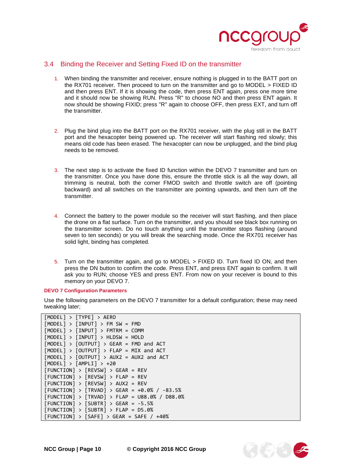

#### <span id="page-9-0"></span>3.4 Binding the Receiver and Setting Fixed ID on the transmitter

- 1. When binding the transmitter and receiver, ensure nothing is plugged in to the BATT port on the RX701 receiver. Then proceed to turn on the transmitter and go to MODEL > FIXED ID and then press ENT. If it is showing the code, then press ENT again, press one more time and it should now be showing RUN. Press "R" to choose NO and then press ENT again. It now should be showing FIXID; press "R" again to choose OFF, then press EXT, and turn off the transmitter.
- 2. Plug the bind plug into the BATT port on the RX701 receiver, with the plug still in the BATT port and the hexacopter being powered up. The receiver will start flashing red slowly; this means old code has been erased. The hexacopter can now be unplugged, and the bind plug needs to be removed.
- 3. The next step is to activate the fixed ID function within the DEVO 7 transmitter and turn on the transmitter. Once you have done this, ensure the throttle stick is all the way down, all trimming is neutral, both the corner FMOD switch and throttle switch are off (pointing backward) and all switches on the transmitter are pointing upwards, and then turn off the transmitter.
- 4. Connect the battery to the power module so the receiver will start flashing, and then place the drone on a flat surface. Turn on the transmitter, and you should see black box running on the transmitter screen. Do no touch anything until the transmitter stops flashing (around seven to ten seconds) or you will break the searching mode. Once the RX701 receiver has solid light, binding has completed.
- 5. Turn on the transmitter again, and go to MODEL > FIXED ID. Turn fixed ID ON, and then press the DN button to confirm the code. Press ENT, and press ENT again to confirm. It will ask you to RUN; choose YES and press ENT. From now on your receiver is bound to this memory on your DEVO 7.

#### **DEVO 7 Configuration Parameters**

Use the following parameters on the DEVO 7 transmitter for a default configuration; these may need tweaking later;

| [MODEL] > [TYPE] > AERO                         |
|-------------------------------------------------|
| $[MODEL] > [INPUT] > FM SW = FMD$               |
| $[MODEL] > [INPUT] > FMTRM = COMM$              |
| $[MODEL] > [INPUT] > HLDSW = HOLD$              |
| $[MODEL] > [OUTPUT] > GEAR = FMD and ACT$       |
| $[MODEL] > [OUTPUT] > FLAP = MIX and ACT$       |
| $[MODEL] > [OUTPUT] > AUX2 = AUX2$ and ACT      |
| $[MODEL] > [AMPLI] > +20$                       |
| $[FUNCTION] > [REVSW] > GEAR = REV$             |
| $[FUNCTION] > [REVSW] > FLAP = REV$             |
| $[FUNCTION] > [REVSW] > AUX2 = REV$             |
| $[FUNCTION] > [TRYAD] > GEAR = +0.0% / -83.5%$  |
| $[FUNCTION] > [TRYAD] > FLAP = U88.0% / D88.0%$ |
| $[FUNCTION] > [SUBTR] > GEAR = -5.5%$           |
| $[FUNCTION] > [SUBTR] > FLAP = D5.0%$           |
| $[FUNCTION] > [SAFE] > GEAR = SAFE / +40%$      |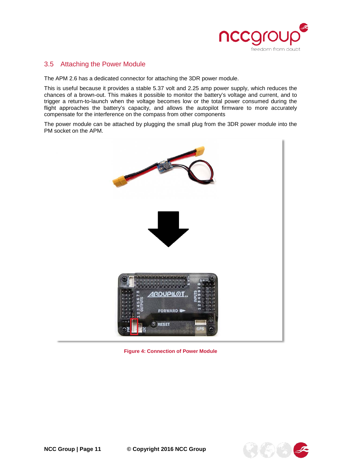

## <span id="page-10-0"></span>3.5 Attaching the Power Module

The APM 2.6 has a dedicated connector for attaching the 3DR power module.

This is useful because it provides a stable 5.37 volt and 2.25 amp power supply, which reduces the chances of a brown-out. This makes it possible to monitor the battery's voltage and current, and to trigger a return-to-launch when the voltage becomes low or the total power consumed during the flight approaches the battery's capacity, and allows the autopilot firmware to more accurately compensate for the interference on the compass from other components

The power module can be attached by plugging the small plug from the 3DR power module into the PM socket on the APM.



**Figure 4: Connection of Power Module**

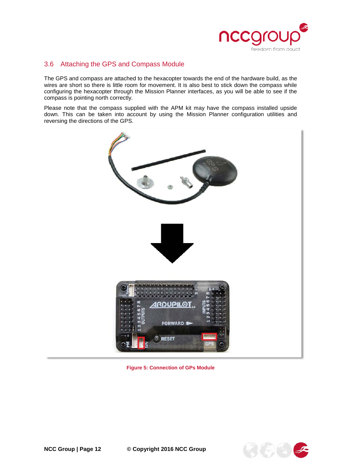

# <span id="page-11-0"></span>3.6 Attaching the GPS and Compass Module

The GPS and compass are attached to the hexacopter towards the end of the hardware build, as the wires are short so there is little room for movement. It is also best to stick down the compass while configuring the hexacopter through the Mission Planner interfaces, as you will be able to see if the compass is pointing north correctly.

Please note that the compass supplied with the APM kit may have the compass installed upside down. This can be taken into account by using the Mission Planner configuration utilities and reversing the directions of the GPS.



**Figure 5: Connection of GPs Module**



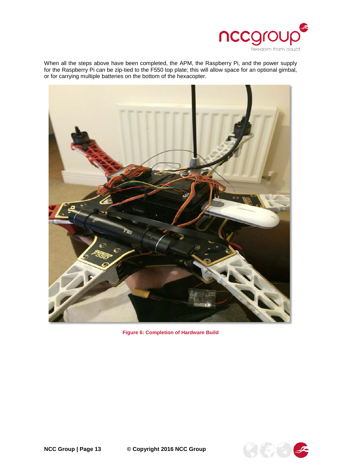

When all the steps above have been completed, the APM, the Raspberry Pi, and the power supply for the Raspberry Pi can be zip-tied to the F550 top plate; this will allow space for an optional gimbal, or for carrying multiple batteries on the bottom of the hexacopter.



**Figure 6: Completion of Hardware Build**

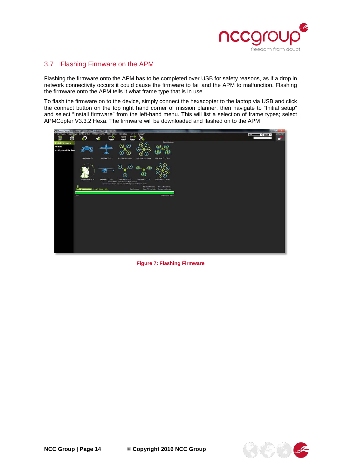

# <span id="page-13-0"></span>3.7 Flashing Firmware on the APM

Flashing the firmware onto the APM has to be completed over USB for safety reasons, as if a drop in network connectivity occurs it could cause the firmware to fail and the APM to malfunction. Flashing the firmware onto the APM tells it what frame type that is in use.

To flash the firmware on to the device, simply connect the hexacopter to the laptop via USB and click the connect button on the top right hand corner of mission planner, then navigate to "Initial setup" and select "Install firmware" from the left-hand menu. This will list a selection of frame types; select APMCopter V3.3.2 Hexa. The firmware will be downloaded and flashed on to the APM



**Figure 7: Flashing Firmware**

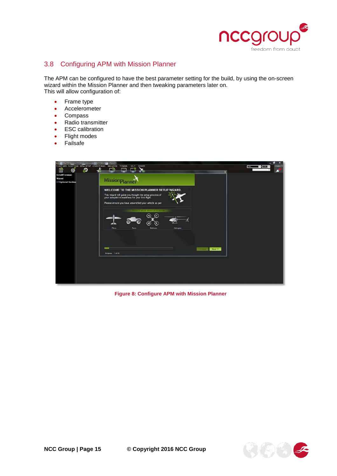

## <span id="page-14-0"></span>3.8 Configuring APM with Mission Planner

The APM can be configured to have the best parameter setting for the build, by using the on-screen wizard within the Mission Planner and then tweaking parameters later on. This will allow configuration of:

- Frame type
- Accelerometer
- **Compass**
- Radio transmitter
- **ESC** calibration
- Flight modes
- **Failsafe**

| W. Mission Planner 13.34 build 1.1.5335 10557 Ard Juppler V3.2.1 G6b405fbr<br>FUGHT DATA FLIGHT PLAN INTIAL SETUP CONFIGITUAING SAVULATION TERMINAL HELP | <b>DONATE</b>                                                                                                                                                                                                         | $-0x$<br>CONNECT<br><b>BASE V</b> |
|----------------------------------------------------------------------------------------------------------------------------------------------------------|-----------------------------------------------------------------------------------------------------------------------------------------------------------------------------------------------------------------------|-----------------------------------|
| 昏<br>ಾ<br>⊕                                                                                                                                              | ╰<br>r<br>44.44<br>冃                                                                                                                                                                                                  |                                   |
| <b>Install Firmware</b><br>Wizard<br>>> Optional Hardway                                                                                                 | MissionPlann                                                                                                                                                                                                          |                                   |
|                                                                                                                                                          | WELCOME TO THE MISSION PLANNER SETUP WIZARD.<br>This wizard will guide you thought the setup process of<br>your autopilot in readiness for your first flight.<br>Please ensure you have assembled your vehicle as per |                                   |
|                                                                                                                                                          | SELFIGT YOUR VEHICLE TO BEGIN<br>a<br>Plano<br>Helicopter                                                                                                                                                             |                                   |
|                                                                                                                                                          | Royar<br>Multirotor                                                                                                                                                                                                   |                                   |
|                                                                                                                                                          | Next $\gg$<br><b>CONTRACTOR</b><br>Progress 1 of 16                                                                                                                                                                   |                                   |
|                                                                                                                                                          |                                                                                                                                                                                                                       |                                   |

**Figure 8: Configure APM with Mission Planner**

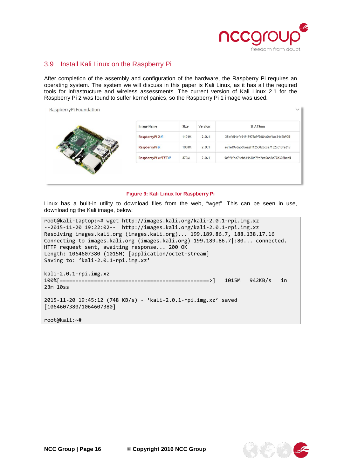

#### <span id="page-15-0"></span>3.9 Install Kali Linux on the Raspberry Pi

After completion of the assembly and configuration of the hardware, the Raspberry Pi requires an operating system. The system we will discuss in this paper is Kali Linux, as it has all the required tools for infrastructure and wireless assessments. The current version of Kali Linux 2.1 for the Raspberry Pi 2 was found to suffer kernel panics, so the Raspberry Pi 1 image was used.

| <b>Image Name</b>        | Size  | Version | SHA1Sum                                  |
|--------------------------|-------|---------|------------------------------------------|
| RaspberryPi 2            | 1104M | 2.0.1   | 25bfa54efe94f18978c9f9684c0cf1cc34e2b905 |
| RaspberryPi <sup>®</sup> | 1038M | 2.0.1   | e91ef99dab6bea2ff1250828cce7132cc10fe217 |
| RaspberryPi w/TFT @      | 870M  | 2.0.1   | 9c3f1fea74cb644480c79e2ea06b3e77d398bca5 |

#### **Figure 9: Kali Linux for Raspberry Pi**

Linux has a built-in utility to download files from the web, "wget". This can be seen in use, downloading the Kali image, below:

root@kali-Laptop:~# wget http://images.kali.org/kali-2.0.1-rpi.img.xz --2015-11-20 19:22:02-- http://images.kali.org/kali-2.0.1-rpi.img.xz Resolving images.kali.org (images.kali.org)... 199.189.86.7, 188.138.17.16 Connecting to images.kali.org (images.kali.org)|199.189.86.7|:80... connected. HTTP request sent, awaiting response... 200 OK Length: 1064607380 (1015M) [application/octet-stream] Saving to: 'kali-2.0.1-rpi.img.xz' kali-2.0.1-rpi.img.xz 100%[================================================>] 1015M 942KB/s in 23m 10ss 2015-11-20 19:45:12 (748 KB/s) - 'kali-2.0.1-rpi.img.xz' saved [1064607380/1064607380] root@kali:~#

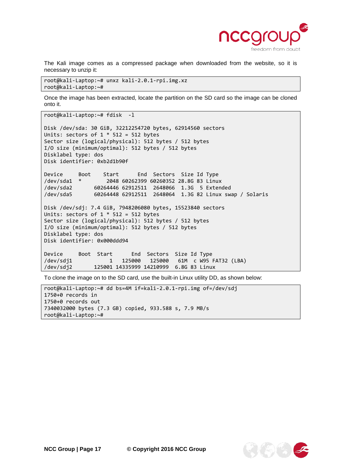

The Kali image comes as a compressed package when downloaded from the website, so it is necessary to unzip it:

root@kali-Laptop:~# unxz kali-2.0.1-rpi.img.xz root@kali-Laptop:~#

Once the image has been extracted, locate the partition on the SD card so the image can be cloned onto it.

```
root@kali-Laptop:~# fdisk -l
Disk /dev/sda: 30 GiB, 32212254720 bytes, 62914560 sectors
Units: sectors of 1 * 512 = 512 bytes
Sector size (logical/physical): 512 bytes / 512 bytes
I/O size (minimum/optimal): 512 bytes / 512 bytes
Disklabel type: dos
Disk identifier: 0xb2d1b90f
Device Boot Start End Sectors Size Id Type
/dev/sda1 * 2048 60262399 60260352 28.8G 83 Linux
/dev/sda2 60264446 62912511 2648066 1.3G 5 Extended
              60264448 62912511 2648064 1.3G 82 Linux swap / Solaris
Disk /dev/sdj: 7.4 GiB, 7948206080 bytes, 15523840 sectors
Units: sectors of 1 * 512 = 512 bytes
Sector size (logical/physical): 512 bytes / 512 bytes
I/O size (minimum/optimal): 512 bytes / 512 bytes
Disklabel type: dos
Disk identifier: 0x000ddd94
Device Boot Start End Sectors Size Id Type
/dev/sdj1 1 125000 125000 61M c W95 FAT32 (LBA)
/dev/sdj2 125001 14335999 14210999 6.8G 83 Linux
```
To clone the image on to the SD card, use the built-in Linux utility DD, as shown below:

root@kali-Laptop:~# dd bs=4M if=kali-2.0.1-rpi.img of=/dev/sdj 1750+0 records in 1750+0 records out 7340032000 bytes (7.3 GB) copied, 933.588 s, 7.9 MB/s root@kali-Laptop:~#

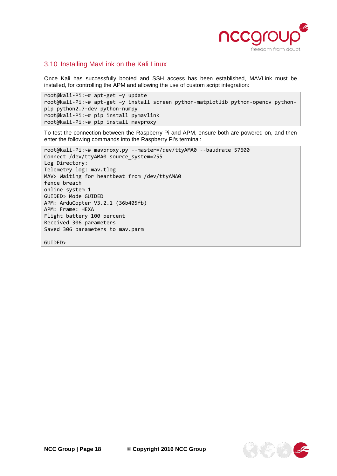

#### <span id="page-17-0"></span>3.10 Installing MavLink on the Kali Linux

Once Kali has successfully booted and SSH access has been established, MAVLink must be installed, for controlling the APM and allowing the use of custom script integration:

```
root@kali-Pi:~# apt-get –y update 
root@kali-Pi:~# apt-get –y install screen python-matplotlib python-opencv python-
pip python2.7-dev python-numpy
root@kali-Pi:~# pip install pymavlink
root@kali-Pi:~# pip install mavproxy
```
To test the connection between the Raspberry Pi and APM, ensure both are powered on, and then enter the following commands into the Raspberry Pi's terminal:

```
root@kali-Pi:~# mavproxy.py --master=/dev/ttyAMA0 --baudrate 57600
Connect /dev/ttyAMA0 source_system=255
Log Directory: 
Telemetry log: mav.tlog
MAV> Waiting for heartbeat from /dev/ttyAMA0
fence breach
online system 1
GUIDED> Mode GUIDED
APM: ArduCopter V3.2.1 (36b405fb)
APM: Frame: HEXA
Flight battery 100 percent
Received 306 parameters
Saved 306 parameters to mav.parm
GUIDED>
```
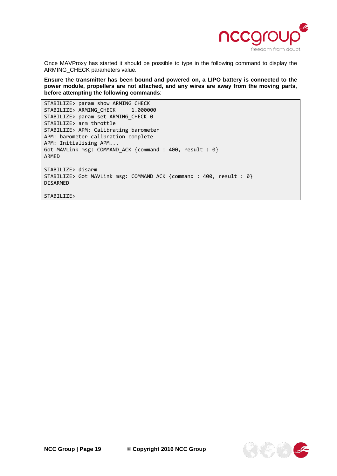

Once MAVProxy has started it should be possible to type in the following command to display the ARMING\_CHECK parameters value.

**Ensure the transmitter has been bound and powered on, a LIPO battery is connected to the power module, propellers are not attached, and any wires are away from the moving parts, before attempting the following commands**:

STABILIZE> param show ARMING\_CHECK<br>STABILIZE> ARMING CHECK 1.000000 STABILIZE> ARMING\_CHECK STABILIZE> param set ARMING\_CHECK 0 STABILIZE> arm throttle STABILIZE> APM: Calibrating barometer APM: barometer calibration complete APM: Initialising APM... Got MAVLink msg: COMMAND\_ACK {command : 400, result : 0} ARMED STABILIZE> disarm STABILIZE> Got MAVLink msg: COMMAND\_ACK {command : 400, result : 0} DISARMED

STABILIZE>

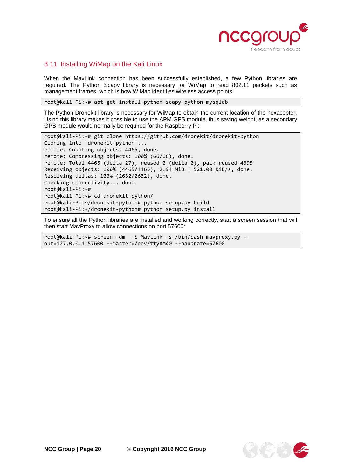

#### <span id="page-19-0"></span>3.11 Installing WiMap on the Kali Linux

When the MavLink connection has been successfully established, a few Python libraries are required. The Python Scapy library is necessary for WiMap to read 802.11 packets such as management frames, which is how WiMap identifies wireless access points:

root@kali-Pi:~# apt-get install python-scapy python-mysqldb

The Python Dronekit library is necessary for WiMap to obtain the current location of the hexacopter. Using this library makes it possible to use the APM GPS module, thus saving weight, as a secondary GPS module would normally be required for the Raspberry Pi:

```
root@kali-Pi:~# git clone https://github.com/dronekit/dronekit-python
Cloning into 'dronekit-python'...
remote: Counting objects: 4465, done.
remote: Compressing objects: 100% (66/66), done.
remote: Total 4465 (delta 27), reused 0 (delta 0), pack-reused 4395
Receiving objects: 100% (4465/4465), 2.94 MiB | 521.00 KiB/s, done.
Resolving deltas: 100% (2632/2632), done.
Checking connectivity... done.
root@kali-Pi:~#
root@kali-Pi:~# cd dronekit-python/
root@kali-Pi:~/dronekit-python# python setup.py build
root@kali-Pi:~/dronekit-python# python setup.py install
```
To ensure all the Python libraries are installed and working correctly, start a screen session that will then start MavProxy to allow connections on port 57600:

root@kali-Pi:~# screen –dm -S MavLink -s /bin/bash mavproxy.py - out=127.0.0.1:57600 --master=/dev/ttyAMA0 --baudrate=57600

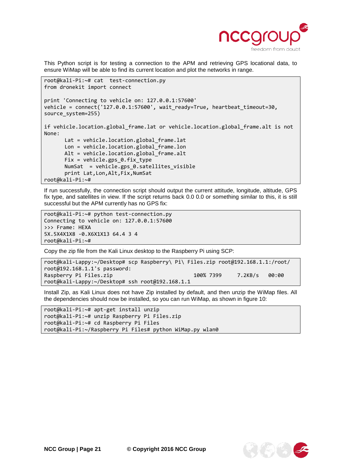

This Python script is for testing a connection to the APM and retrieving GPS locational data, to ensure WiMap will be able to find its current location and plot the networks in range.

```
root@kali-Pi:~# cat test-connection.py 
from dronekit import connect
print 'Connecting to vehicle on: 127.0.0.1:57600'
vehicle = connect('127.0.0.1:57600', wait_ready=True, heartbeat_timeout=30, 
source system=255)
if vehicle.location.global_frame.lat or vehicle.location.global_frame.alt is not 
None:
      Lat = vehicle.location.global_frame.lat
      Lon = vehicle.location.global_frame.lon
      Alt = vehicle.location.global_frame.alt
      Fix = vehicle.gps_0.fix_type 
      NumSat = vehicle.gps 0.satellites visible
      print Lat,Lon,Alt,Fix,NumSat
root@kali-Pi:~#
```
If run successfully, the connection script should output the current attitude, longitude, altitude, GPS fix type, and satellites in view. If the script returns back 0.0 0.0 or something similar to this, it is still successful but the APM currently has no GPS fix:

root@kali-Pi:~# python test-connection.py Connecting to vehicle on: 127.0.0.1:57600 >>> Frame: HEXA 5X.5X4X1X8 -0.X6X1X13 64.4 3 4 root@kali-Pi:~#

Copy the zip file from the Kali Linux desktop to the Raspberry Pi using SCP:

```
root@kali-Lappy:~/Desktop# scp Raspberry\ Pi\ Files.zip root@192.168.1.1:/root/
root@192.168.1.1's password: 
Raspberry Pi Files.zip 100% 7399 7.2KB/s 00:00 
root@kali-Lappy:~/Desktop# ssh root@192.168.1.1
```
Install Zip, as Kali Linux does not have Zip installed by default, and then unzip the WiMap files. All the dependencies should now be installed, so you can run WiMap, as shown in figure 10:

```
root@kali-Pi:~# apt-get install unzip
root@kali-Pi:~# unzip Raspberry Pi Files.zip
root@kali-Pi:~# cd Raspberry Pi Files
root@kali-Pi:~/Raspberry Pi Files# python WiMap.py wlan0
```
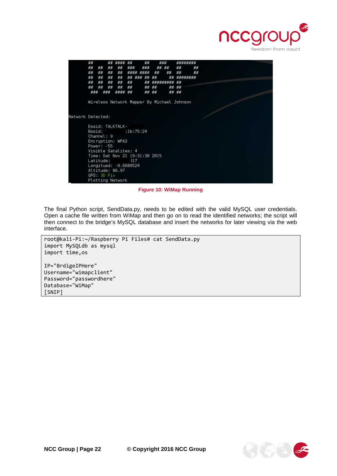

|                   | ##  |    |             |                                            |      | ##  |    |    |          |    |  |  |
|-------------------|-----|----|-------------|--------------------------------------------|------|-----|----|----|----------|----|--|--|
|                   | ##  | ## | ##          | ##                                         | ###  | ### |    | ## | ##       | ## |  |  |
|                   | ##  | ## | ##          | ##                                         | #### |     | ## | ## | ##       | ## |  |  |
|                   | ##  | ## | ##          | ##                                         | ##   |     |    | ## | ######## |    |  |  |
|                   | ##  | ## | ##          | ##                                         | ##   | ##  |    |    | ##       |    |  |  |
|                   | ##  | ## | ##          | ##                                         | ##   | ##  | ## | ## | ##       |    |  |  |
|                   | ### |    | ###         | ####                                       | 並並   | ##  | 兹兹 | 发花 | ##       |    |  |  |
|                   |     |    |             | Wireless Network Mapper By Michael Johnson |      |     |    |    |          |    |  |  |
|                   |     |    |             |                                            |      |     |    |    |          |    |  |  |
| Network Detected: |     |    |             |                                            |      |     |    |    |          |    |  |  |
|                   |     |    |             | Essid: TALKTALK-                           |      |     |    |    |          |    |  |  |
|                   |     |    |             | Bssid: :1b:75:24                           |      |     |    |    |          |    |  |  |
|                   |     |    | Channel: 9  |                                            |      |     |    |    |          |    |  |  |
|                   |     |    |             | Encryption: WPA2                           |      |     |    |    |          |    |  |  |
|                   |     |    | Power: -55  |                                            |      |     |    |    |          |    |  |  |
|                   |     |    |             | Visible Satalites: 4                       |      |     |    |    |          |    |  |  |
|                   |     |    |             | Time: Sat Nov 21 19:31:38 2015             |      |     |    |    |          |    |  |  |
|                   |     |    | Latitude:   |                                            | -317 |     |    |    |          |    |  |  |
|                   |     |    |             | Longitued: -0.6680524                      |      |     |    |    |          |    |  |  |
|                   |     |    |             | Altitude: 86.97                            |      |     |    |    |          |    |  |  |
|                   |     |    | GPS: 3D Fix |                                            |      |     |    |    |          |    |  |  |
|                   |     |    |             | Plotting Network                           |      |     |    |    |          |    |  |  |

**Figure 10: WiMap Running**

The final Python script, SendData.py, needs to be edited with the valid MySQL user credentials. Open a cache file written from WiMap and then go on to read the identified networks; the script will then connect to the bridge's MySQL database and insert the networks for later viewing via the web interface.

```
root@kali-Pi:~/Raspberry Pi Files# cat SendData.py 
import MySQLdb as mysql
import time,os
IP="BrdigeIPHere"
Username="wimapclient"
Password="passwordhere"
Database="WiMap"
[SNIP]
```
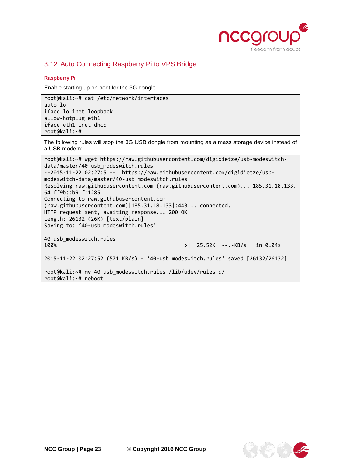

## <span id="page-22-0"></span>3.12 Auto Connecting Raspberry Pi to VPS Bridge

#### **Raspberry Pi**

Enable starting up on boot for the 3G dongle

root@kali:~# cat /etc/network/interfaces auto lo iface lo inet loopback allow-hotplug eth1 iface eth1 inet dhcp root@kali:~#

The following rules will stop the 3G USB dongle from mounting as a mass storage device instead of a USB modem:

root@kali:~# wget https://raw.githubusercontent.com/digidietze/usb-modeswitchdata/master/40-usb\_modeswitch.rules --2015-11-22 02:27:51-- https://raw.githubusercontent.com/digidietze/usbmodeswitch-data/master/40-usb\_modeswitch.rules Resolving raw.githubusercontent.com (raw.githubusercontent.com)... 185.31.18.133, 64:ff9b::b91f:1285 Connecting to raw.githubusercontent.com (raw.githubusercontent.com)|185.31.18.133|:443... connected. HTTP request sent, awaiting response... 200 OK Length: 26132 (26K) [text/plain] Saving to: '40-usb\_modeswitch.rules' 40-usb\_modeswitch.rules 100%[========================================>] 25.52K --.-KB/s in 0.04s 2015-11-22 02:27:52 (571 KB/s) - '40-usb\_modeswitch.rules' saved [26132/26132] root@kali:~# mv 40-usb\_modeswitch.rules /lib/udev/rules.d/ root@kali:~# reboot

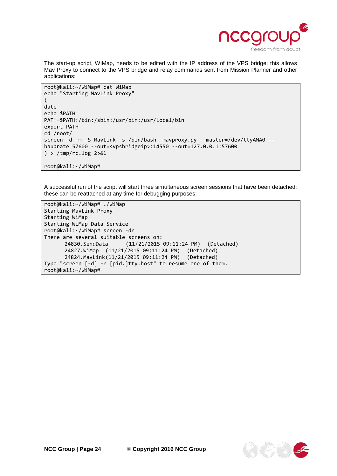

The start-up script, WiMap, needs to be edited with the IP address of the VPS bridge; this allows Mav Proxy to connect to the VPS bridge and relay commands sent from Mission Planner and other applications:

```
root@kali:~/WiMap# cat WiMap
echo "Starting MavLink Proxy"
(
date
echo $PATH
PATH=$PATH:/bin:/sbin:/usr/bin:/usr/local/bin
export PATH
cd /root/
screen -d -m -S MavLink -s /bin/bash mavproxy.py --master=/dev/ttyAMA0 --
baudrate 57600 --out=<vpsbridgeip>:14550 --out=127.0.0.1:57600
) > /tmp/rc.log 2>&1
root@kali:~/WiMap#
```
A successful run of the script will start three simultaneous screen sessions that have been detached; these can be reattached at any time for debugging purposes:

root@kali:~/WiMap# ./WiMap Starting MavLink Proxy Starting WiMap Starting WiMap Data Service root@kali:~/WiMap# screen -dr There are several suitable screens on: 24830.SendData (11/21/2015 09:11:24 PM) (Detached) 24827.WiMap (11/21/2015 09:11:24 PM) (Detached) 24824.MavLink(11/21/2015 09:11:24 PM) (Detached) Type "screen [-d] -r [pid.]tty.host" to resume one of them. root@kali:~/WiMap#

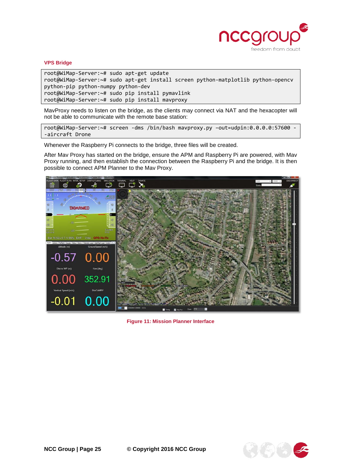

#### **VPS Bridge**

root@WiMap-Server:~# sudo apt-get update root@WiMap-Server:~# sudo apt-get install screen python-matplotlib python-opencv python-pip python-numpy python-dev root@WiMap-Server:~# sudo pip install pymavlink root@WiMap-Server:~# sudo pip install mavproxy

MavProxy needs to listen on the bridge, as the clients may connect via NAT and the hexacopter will not be able to communicate with the remote base station:

root@WiMap-Server:~# screen -dms /bin/bash mavproxy.py –out=udpin:0.0.0.0:57600 - -aircraft Drone

Whenever the Raspberry Pi connects to the bridge, three files will be created.

After Mav Proxy has started on the bridge, ensure the APM and Raspberry Pi are powered, with Mav Proxy running, and then establish the connection between the Raspberry Pi and the bridge. It is then possible to connect APM Planner to the Mav Proxy.



**Figure 11: Mission Planner Interface**

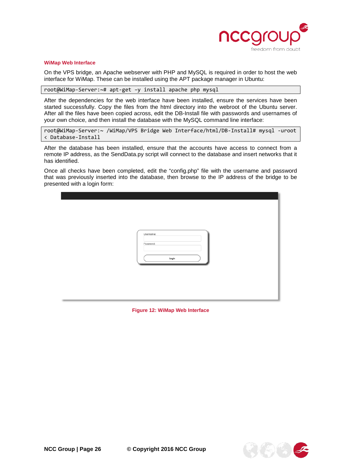

#### **WiMap Web Interface**

On the VPS bridge, an Apache webserver with PHP and MySQL is required in order to host the web interface for WiMap. These can be installed using the APT package manager in Ubuntu:

root@WiMap-Server:~# apt-get –y install apache php mysql

After the dependencies for the web interface have been installed, ensure the services have been started successfully. Copy the files from the html directory into the webroot of the Ubuntu server. After all the files have been copied across, edit the DB-Install file with passwords and usernames of your own choice, and then install the database with the MySQL command line interface:

root@WiMap-Server:~ /WiMap/VPS Bridge Web Interface/html/DB-Install# mysql -uroot < Database-Install

After the database has been installed, ensure that the accounts have access to connect from a remote IP address, as the SendData.py script will connect to the database and insert networks that it has identified.

Once all checks have been completed, edit the "config.php" file with the username and password that was previously inserted into the database, then browse to the IP address of the bridge to be presented with a login form:

| Username:<br>Password:<br>Login |
|---------------------------------|
|                                 |

**Figure 12: WiMap Web Interface**

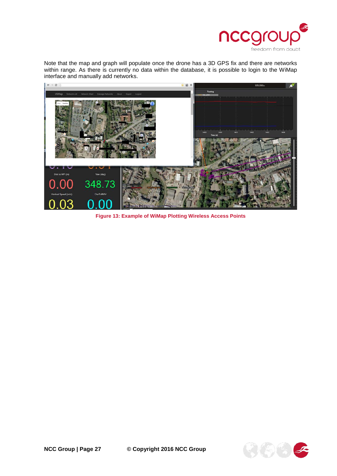

Note that the map and graph will populate once the drone has a 3D GPS fix and there are networks within range. As there is currently no data within the database, it is possible to login to the WiMap interface and manually add networks.



**Figure 13: Example of WiMap Plotting Wireless Access Points**

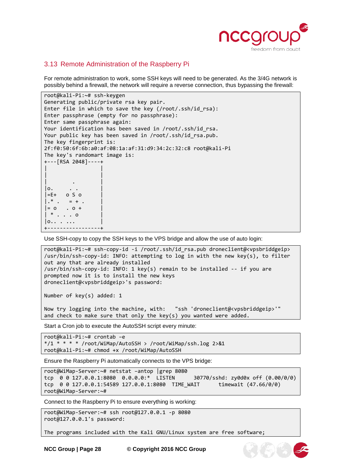

#### <span id="page-27-0"></span>3.13 Remote Administration of the Raspberry Pi

For remote administration to work, some SSH keys will need to be generated. As the 3/4G network is possibly behind a firewall, the network will require a reverse connection, thus bypassing the firewall:

```
root@kali-Pi:~# ssh-keygen 
Generating public/private rsa key pair.
Enter file in which to save the key (/root/.ssh/id_rsa): 
Enter passphrase (empty for no passphrase): 
Enter same passphrase again: 
Your identification has been saved in /root/.ssh/id rsa.
Your public key has been saved in /root/.ssh/id_rsa.pub.
The key fingerprint is:
2f:f0:50:6f:6b:a0:af:08:1a:af:31:d9:34:2c:32:c8 root@kali-Pi
The key's randomart image is:
+---[RSA 2048]----+
| |
| |
| . |
|o.\left| =E+ \right| o S o
|.* . = + .|= 0 \tcdot 0 +| * . . . . 0|0.. \t ...+-----------------+
```
Use SSH-copy to copy the SSH keys to the VPS bridge and allow the use of auto login:

```
root@kali-Pi:~# ssh-copy-id -i /root/.ssh/id_rsa.pub droneclient@<vpsbriddgeip>
/usr/bin/ssh-copy-id: INFO: attempting to log in with the new key(s), to filter 
out any that are already installed
/usr/bin/ssh-copy-id: INFO: 1 key(s) remain to be installed -- if you are 
prompted now it is to install the new keys
droneclient@<vpsbriddgeip>'s password:
```
Number of key(s) added: 1

Now try logging into the machine, with: "ssh 'droneclient@<vpsbriddgeip>'" and check to make sure that only the key(s) you wanted were added.

Start a Cron job to execute the AutoSSH script every minute:

root@kali-Pi:~# crontab –e  $*/1$  \* \* \* /root/WiMap/AutoSSH > /root/WiMap/ssh.log 2>&1 root@kali-Pi:~# chmod +x /root/WiMap/AutoSSH

Ensure the Raspberry Pi automatically connects to the VPS bridge:

```
root@WiMap-Server:~# netstat –antop |grep 8080
tcp 0 0 127.0.0.1:8080 0.0.0.0:* LISTEN 30770/sshd: zy0d0x off (0.00/0/0)
tcp 0 0 127.0.0.1:54589 127.0.0.1:8080 TIME_WAIT timewait (47.66/0/0)
root@WiMap-Server:~#
```
Connect to the Raspberry Pi to ensure everything is working:

```
root@WiMap-Server:~# ssh root@127.0.0.1 -p 8080
root@127.0.0.1's password:
```
The programs included with the Kali GNU/Linux system are free software;

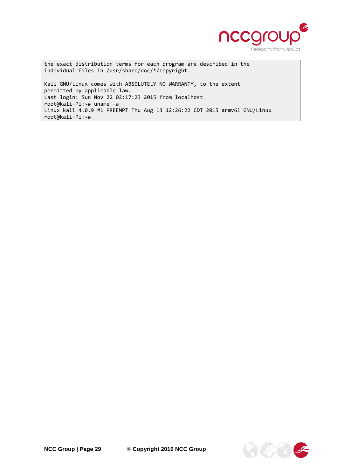

the exact distribution terms for each program are described in the individual files in /usr/share/doc/\*/copyright.

Kali GNU/Linux comes with ABSOLUTELY NO WARRANTY, to the extent permitted by applicable law. Last login: Sun Nov 22 02:17:23 2015 from localhost root@kali-Pi:~# uname -a Linux kali 4.0.9 #1 PREEMPT Thu Aug 13 12:26:22 CDT 2015 armv6l GNU/Linux root@kali-Pi:~#

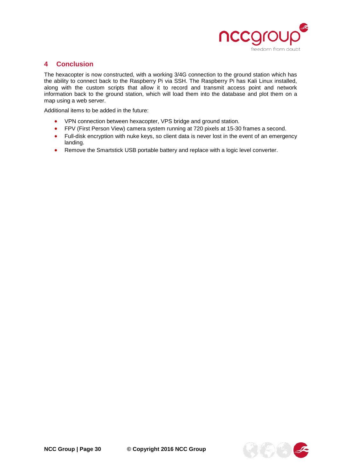

# <span id="page-29-0"></span>**4 Conclusion**

The hexacopter is now constructed, with a working 3/4G connection to the ground station which has the ability to connect back to the Raspberry Pi via SSH. The Raspberry Pi has Kali Linux installed, along with the custom scripts that allow it to record and transmit access point and network information back to the ground station, which will load them into the database and plot them on a map using a web server.

Additional items to be added in the future:

- VPN connection between hexacopter, VPS bridge and ground station.
- FPV (First Person View) camera system running at 720 pixels at 15-30 frames a second.
- Full-disk encryption with nuke keys, so client data is never lost in the event of an emergency landing.
- Remove the Smartstick USB portable battery and replace with a logic level converter.